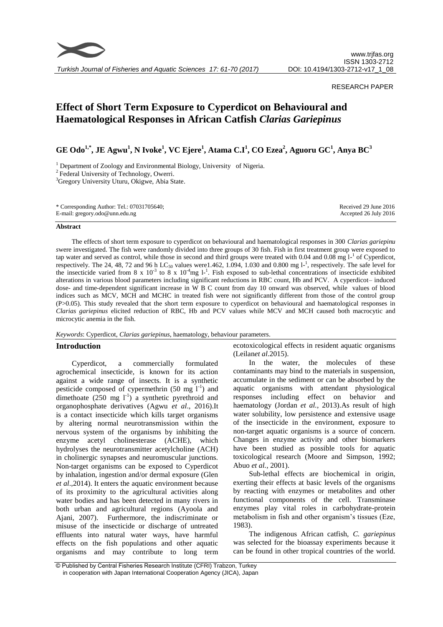

# RESEARCH PAPER

# **Effect of Short Term Exposure to Cyperdicot on Behavioural and Haematological Responses in African Catfish** *Clarias Gariepinus*

**GE Odo1,\*, JE Agwu<sup>1</sup> , N Ivoke<sup>1</sup> , VC Ejere<sup>1</sup> , Atama C.I<sup>1</sup> , CO Ezea<sup>2</sup> , Aguoru GC<sup>1</sup> , Anya BC<sup>3</sup>**

<sup>1</sup> Department of Zoology and Environmental Biology, University of Nigeria.

<sup>2</sup> Federal University of Technology, Owerri.

<sup>3</sup>Gregory University Uturu, Okigwe, Abia State.

#### **Abstract**

The effects of short term exposure to cyperdicot on behavioural and haematological responses in 300 *Clarias gariepinu s*were investigated. The fish were randomly divided into three groups of 30 fish. Fish in first treatment group were exposed to tap water and served as control, while those in second and third groups were treated with  $0.04$  and  $0.08$  mg  $1<sup>-1</sup>$  of Cyperdicot, respectively. The 24, 48, 72 and 96 h LC<sub>50</sub> values were 1.462, 1.094, 1.030 and 0.800 mg  $l^{-1}$ , respectively. The safe level for the insecticide varied from 8 x  $10^{-3}$  to 8 x  $10^{-4}$ mg l<sup>-1</sup>. Fish exposed to sub-lethal concentrations of insecticide exhibited alterations in various blood parameters including significant reductions in RBC count, Hb and PCV. A cyperdicot– induced dose- and time-dependent significant increase in W B C count from day 10 onward was observed, while values of blood indices such as MCV, MCH and MCHC in treated fish were not significantly different from those of the control group (P>0.05). This study revealed that the short term exposure to cyperdicot on behavioural and haematological responses in *Clarias gariepinus* elicited reduction of RBC, Hb and PCV values while MCV and MCH caused both macrocytic and microcytic anemia in the fish.

*Keywords*: Cyperdicot, *Clarias gariepinus*, haematology, behaviour parameters.

# **Introduction**

Cyperdicot, a commercially formulated agrochemical insecticide, is known for its action against a wide range of insects. It is a synthetic pesticide composed of cypermethrin  $(50 \text{ mg } l^{-1})$  and dimethoate  $(250 \text{ mg } l^{\text{-}1})$  a synthetic pyrethroid and organophosphate derivatives (Agwu *et al*., 2016).It is a contact insecticide which kills target organisms by altering normal neurotransmission within the nervous system of the organisms by inhibiting the enzyme acetyl cholinesterase (ACHE), which hydrolyses the neurotransmitter acetylcholine (ACH) in cholinergic synapses and neuromuscular junctions. Non-target organisms can be exposed to Cyperdicot by inhalation, ingestion and/or dermal exposure (Glen *et al*.,2014). It enters the aquatic environment because of its proximity to the agricultural activities along water bodies and has been detected in many rivers in both urban and agricultural regions (Ayoola and Ajani, 2007). Furthermore, the indiscriminate or misuse of the insecticide or discharge of untreated effluents into natural water ways, have harmful effects on the fish populations and other aquatic organisms and may contribute to long term

ecotoxicological effects in resident aquatic organisms (Leilan*et al*.2015).

In the water, the molecules of these contaminants may bind to the materials in suspension, accumulate in the sediment or can be absorbed by the aquatic organisms with attendant physiological responses including effect on behavior and haematology (Jordan *et al.,* 2013).As result of high water solubility, low persistence and extensive usage of the insecticide in the environment, exposure to non-target aquatic organisms is a source of concern. Changes in enzyme activity and other biomarkers have been studied as possible tools for aquatic toxicological research (Moore and Simpson, 1992; Abuo *et al.,* 2001).

Sub-lethal effects are biochemical in origin, exerting their effects at basic levels of the organisms by reacting with enzymes or metabolites and other functional components of the cell. Transminase enzymes play vital roles in carbohydrate-protein metabolism in fish and other organism's tissues (Eze, 1983).

The indigenous African catfish, *C. gariepinus* was selected for the bioassay experiments because it can be found in other tropical countries of the world.

<sup>©</sup> Published by Central Fisheries Research Institute (CFRI) Trabzon, Turkey in cooperation with Japan International Cooperation Agency (JICA), Japan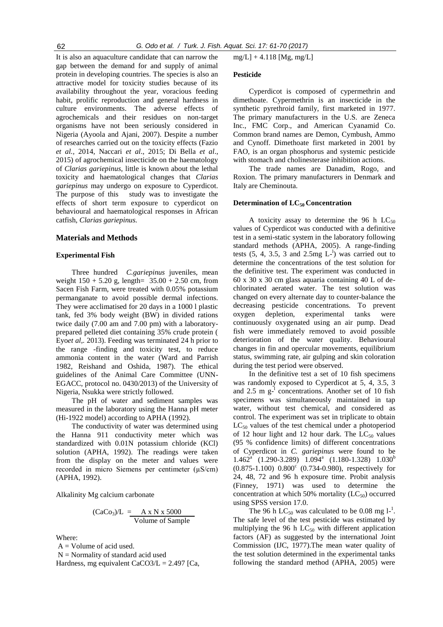It is also an aquaculture candidate that can narrow the gap between the demand for and supply of animal protein in developing countries. The species is also an attractive model for toxicity studies because of its availability throughout the year, voracious feeding habit, prolific reproduction and general hardness in culture environments. The adverse effects of agrochemicals and their residues on non-target organisms have not been seriously considered in Nigeria (Ayoola and Ajani, 2007). Despite a number of researches carried out on the toxicity effects (Fazio *et al.,* 2014, Naccari *et al*., 2015; Di Bella *et al*., 2015) of agrochemical insecticide on the haematology of *Clarias gariepinus*, little is known about the lethal toxicity and haematological changes that *Clarias gariepinus* may undergo on exposure to Cyperdicot. The purpose of this study was to investigate the effects of short term exposure to cyperdicot on behavioural and haematological responses in African catfish, *Clarias gariepinus.*

#### **Materials and Methods**

#### **Experimental Fish**

Three hundred *C.gariepinus* juveniles, mean weight  $150 + 5.20$  g, length=  $35.00 + 2.50$  cm, from Sacen Fish Farm, were treated with 0.05% potassium permanganate to avoid possible dermal infections. They were acclimatised for 20 days in a 1000 l plastic tank, fed 3% body weight (BW) in divided rations twice daily (7.00 am and 7.00 pm) with a laboratoryprepared pelleted diet containing 35% crude protein ( Eyo*et al,.* 2013). Feeding was terminated 24 h prior to the range -finding and toxicity test, to reduce ammonia content in the water (Ward and Parrish 1982, Reishand and Oshida, 1987). The ethical guidelines of the Animal Care Committee (UNN-EGACC, protocol no. 0430/2013) of the University of Nigeria, Nsukka were strictly followed.

The pH of water and sediment samples was measured in the laboratory using the Hanna pH meter (Hi-1922 model) according to APHA (1992).

The conductivity of water was determined using the Hanna 911 conductivity meter which was standardized with 0.01N potassium chloride (KCl) solution (APHA, 1992). The readings were taken from the display on the meter and values were recorded in micro Siemens per centimeter (µS/cm) (APHA, 1992).

Alkalinity Mg calcium carbonate

$$
(\text{CaCo}_3)/\text{L} = \frac{\text{A} \times \text{N} \times 5000}{\text{Volume of Sample}}
$$

Where:

 $A =$  Volume of acid used.

 $N =$  Normality of standard acid used

Hardness, mg equivalent  $CaCO3/L = 2.497$  [Ca,

mg/L] + 4.118 [Mg, mg/L]

#### **Pesticide**

Cyperdicot is composed of cypermethrin and dimethoate. Cypermethrin is an insecticide in the synthetic pyrethroid family, first marketed in 1977. The primary manufacturers in the U.S. are Zeneca Inc., FMC Corp., and American Cyanamid Co. Common brand names are Demon, Cymbush, Ammo and Cynoff. Dimethoate first marketed in 2001 by FAO, is an organ phosphorus and systemic pesticide with stomach and cholinesterase inhibition actions.

The trade names are Danadim, Rogo, and Roxion. The primary manufacturers in Denmark and Italy are Cheminouta.

# **Determination of LC50 Concentration**

A toxicity assay to determine the 96 h  $LC_{50}$ values of Cyperdicot was conducted with a definitive test in a semi-static system in the laboratory following standard methods (APHA, 2005). A range-finding tests  $(5, 4, 3.5, 3 \text{ and } 2.5 \text{mg } L^{-1})$  was carried out to determine the concentrations of the test solution for the definitive test. The experiment was conducted in 60 x 30 x 30 cm glass aquaria containing 40 L of dechlorinated aerated water. The test solution was changed on every alternate day to counter-balance the decreasing pesticide concentrations. To prevent oxygen depletion, experimental tanks were continuously oxygenated using an air pump. Dead fish were immediately removed to avoid possible deterioration of the water quality. Behavioural changes in fin and opercular movements, equilibrium status, swimming rate, air gulping and skin coloration during the test period were observed.

In the definitive test a set of 10 fish specimens was randomly exposed to Cyperdicot at 5, 4, 3.5, 3 and  $2.5 \text{ m g}$ <sup>1</sup> concentrations. Another set of 10 fish specimens was simultaneously maintained in tap water, without test chemical, and considered as control. The experiment was set in triplicate to obtain  $LC_{50}$  values of the test chemical under a photoperiod of 12 hour light and 12 hour dark. The  $LC_{50}$  values (95 % confidence limits) of different concentrations of Cyperdicot in *C. gariepinus* were found to be  $1.462^{\text{a}}$  (1.290-3.289)  $1.094^{\text{a}}$  (1.180-1.328)  $1.030^{\text{b}}$  $(0.875-1.100)$   $0.800<sup>c</sup>$   $(0.734-0.980)$ , respectively for 24, 48, 72 and 96 h exposure time. Probit analysis (Finney, 1971) was used to determine the concentration at which 50% mortality  $(LC_{50})$  occurred using SPSS version 17.0.

The 96 h LC<sub>50</sub> was calculated to be 0.08 mg  $1^{-1}$ . The safe level of the test pesticide was estimated by multiplying the 96 h  $LC_{50}$  with different application factors (AF) as suggested by the international Joint Commission (IJC, 1977).The mean water quality of the test solution determined in the experimental tanks following the standard method (APHA, 2005) were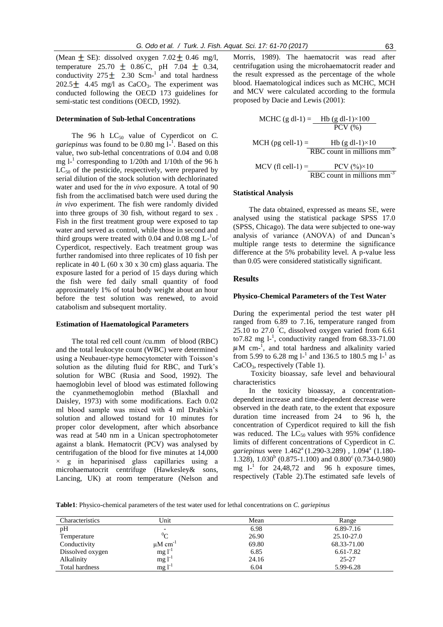(Mean  $\pm$  SE): dissolved oxygen 7.02  $\pm$  0.46 mg/l, temperature 25.70  $\pm$  0.86˚C, pH 7.04  $\pm$  0.34, conductivity  $275 \pm 2.30$  Scm<sup>-1</sup> and total hardness 202.5 $\pm$  4.45 mg/l as CaCO<sub>3</sub>. The experiment was conducted following the OECD 173 guidelines for semi-static test conditions (OECD, 1992).

#### **Determination of Sub-lethal Concentrations**

The 96 h  $LC_{50}$  value of Cyperdicot on *C*. *gariepinus* was found to be  $0.80$  mg  $l^{-1}$ . Based on this value, two sub-lethal concentrations of 0.04 and 0.08 mg  $l<sup>-1</sup>$  corresponding to 1/20th and 1/10th of the 96 h  $LC_{50}$  of the pesticide, respectively, were prepared by serial dilution of the stock solution with dechlorinated water and used for the *in vivo* exposure. A total of 90 fish from the acclimatised batch were used during the *in vivo* experiment. The fish were randomly divided into three groups of 30 fish, without regard to sex . Fish in the first treatment group were exposed to tap water and served as control, while those in second and third groups were treated with 0.04 and 0.08 mg  $L^{-1}$ of Cyperdicot, respectively. Each treatment group was further randomised into three replicates of 10 fish per replicate in 40 L (60 x 30 x 30 cm) glass aquaria. The exposure lasted for a period of 15 days during which the fish were fed daily small quantity of food approximately 1% of total body weight about an hour before the test solution was renewed, to avoid catabolism and subsequent mortality.

#### **Estimation of Haematological Parameters**

The total red cell count /cu.mm of blood (RBC) and the total leukocyte count (WBC) were determined using a Neubauer-type hemocytometer with Toisson's solution as the diluting fluid for RBC, and Turk's solution for WBC (Rusia and Sood, 1992). The haemoglobin level of blood was estimated following the cyanmethemoglobin method (Blaxhall and Daisley, 1973) with some modifications. Each 0.02 ml blood sample was mixed with 4 ml Drabkin's solution and allowed tostand for 10 minutes for proper color development, after which absorbance was read at 540 nm in a Unican spectrophotometer against a blank. Hematocrit (PCV) was analysed by centrifugation of the blood for five minutes at 14,000  $\times$  g in heparinised glass capillaries using a microhaematocrit centrifuge (Hawkesley& sons, Lancing, UK) at room temperature (Nelson and Morris, 1989). The haematocrit was read after centrifugation using the microhaematocrit reader and the result expressed as the percentage of the whole blood. Haematological indices such as MCHC, MCH and MCV were calculated according to the formula proposed by Dacie and Lewis (2001):

MCHC (g dl-1) = 
$$
\frac{\text{Hb (g dl-1)} \times 100}{\text{PCV (\%)}}
$$
  
MCH (pg cell-1) = 
$$
\frac{\text{Hb (g dl-1)} \times 10}{\text{RBC count in millions mm}^3}
$$
  
MCV (fl cell-1) = 
$$
\frac{\text{PCV (\%)} \times 10}{\text{RBC count in millions mm}^3}
$$

#### **Statistical Analysis**

The data obtained, expressed as means SE, were analysed using the statistical package SPSS 17.0 (SPSS, Chicago). The data were subjected to one-way analysis of variance (ANOVA) of and Duncan's multiple range tests to determine the significance difference at the 5% probability level. A p-value less than 0.05 were considered statistically significant.

# **Results**

#### **Physico-Chemical Parameters of the Test Water**

During the experimental period the test water pH ranged from 6.89 to 7.16, temperature ranged from 25.10 to 27.0 °C, dissolved oxygen varied from 6.61 to7.82 mg  $1^{-1}$ , conductivity ranged from 68.33-71.00 M cm-1 , and total hardness and alkalinity varied from 5.99 to 6.28 mg  $l^{-1}$  and 136.5 to 180.5 mg  $l^{-1}$  as  $CaCO<sub>3</sub>$ , respectively (Table 1).

Toxicity bioassay, safe level and behavioural characteristics

In the toxicity bioassay, a concentrationdependent increase and time-dependent decrease were observed in the death rate, to the extent that exposure duration time increased from 24 to 96 h, the concentration of Cyperdicot required to kill the fish was reduced. The  $LC_{50}$  values with 95% confidence limits of different concentrations of Cyperdicot in *C.*  gariepinus were  $1.462^{\text{a}}(1.290 - 3.289)$ ,  $1.094^{\text{a}}(1.180 -$ 1.328),  $1.030<sup>b</sup>$  (0.875-1.100) and 0.800<sup>c</sup> (0.734-0.980) mg  $l^{-1}$  for 24,48,72 and 96 h exposure times, respectively (Table 2).The estimated safe levels of

**Table1**: Physico-chemical parameters of the test water used for lethal concentrations on *C. gariepinus*

| Characteristics       | Unit                     | Mean  | Range       |
|-----------------------|--------------------------|-------|-------------|
| pH                    |                          | 6.98  | 6.89-7.16   |
| Temperature           | $^{0}C$                  | 26.90 | 25.10-27.0  |
| Conductivity          | $\mu$ M cm <sup>-1</sup> | 69.80 | 68.33-71.00 |
| Dissolved oxygen      | $mg1^{-1}$               | 6.85  | 6.61-7.82   |
| Alkalinity            | $mg l^{-1}$              | 24.16 | 25-27       |
| <b>Total hardness</b> | $mg1^{-1}$               | 6.04  | 5.99-6.28   |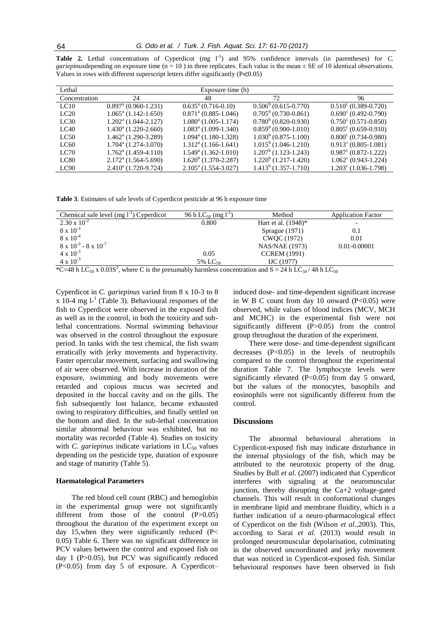| Lethal        |                                  | Exposure time (h)                |                               |                               |
|---------------|----------------------------------|----------------------------------|-------------------------------|-------------------------------|
| Concentration | 24                               | 48                               | 72                            | 96                            |
| LC10          | $0.897^{\text{a}}$ (0.960-1.231) | $0.635^{\text{a}}$ (0.716-0.10)  | $0.506^{\circ}$ (0.615-0.770) | $0.510^{\circ}$ (0.389-0.720) |
| LC20          | $1.065^{\text{a}}$ (1.142-1.650) | $0.871^{\text{a}}$ (0.885-1.046) | $0.705^{\circ}$ (0.730-0.861) | $0.690^{\circ}$ (0.492-0.790) |
| LC30          | $1.202^{\text{a}}$ (1.044-2.127) | $1.080^a$ (1.005-1.174)          | $0.780^b$ (0.820-0.930)       | $0.750^{\circ}$ (0.571-0.850) |
| LC40          | $1.430^{\circ}$ (1.220-2.660)    | $1.083^{\text{a}}$ (1.099-1.340) | $0.859^b$ (0.900-1.010)       | $0.805^{\circ}$ (0.659-0.910) |
| LC50          | $1.462^{\text{a}}$ (1.290-3.289) | $1.094a$ (1.180-1.328)           | $1.030b$ (0.875-1.100)        | $0.800^{\circ}$ (0.734-0.980) |
| LC60          | $1.704^{\circ}$ (1.274-3.070)    | $1.312^{\text{a}}$ (1.166-1.641) | $1.015^{\circ}$ (1.046-1.210) | $0.913^{\circ}$ (0.805-1.081) |
| LC70          | $1.762^{\text{a}}$ (1.459-4.110) | $1.549^{\circ}$ (1.362-1.010)    | $1.207b$ (1.123-1.243)        | $0.987^{\circ}$ (0.872-1.222) |
| LC80          | $2.172^{\text{a}}$ (1.564-5.690) | $1.620^{\circ}$ (1.370-2.287)    | $1.220b$ (1.217-1.420)        | $1.062^{\circ}$ (0.943-1.224) |
| LC90          | $2.410a$ (1.720-9.724)           | $2.105^{\text{a}}$ (1.554-3.027) | $1.413^b$ (1.357-1.710)       | $1.203^{\circ}$ (1.036-1.798) |

Table 2. Lethal concentrations of Cyperdicot (mg l<sup>-1</sup>) and 95% confidence intervals (in parentheses) for *C*. *gariepinus* depending on exposure time  $(n = 10)$  in three replicates. Each value is the mean  $\pm$  SE of 10 identical observations. Values in rows with different superscript letters differ significantly  $(P< 0.05)$ 

**Table 3**. Estimates of safe levels of Cyperdicot pesticide at 96 h exposure time

| 96 h LC <sub>50</sub> (mg l <sup>-1</sup> | Method                 | <b>Application Factor</b> |
|-------------------------------------------|------------------------|---------------------------|
| 0.800                                     | Hart et al. $(1948)^*$ | $\overline{\phantom{0}}$  |
|                                           | Sprague $(1971)$       | 0.1                       |
|                                           | CWOC (1972)            | 0.01                      |
|                                           | NAS/NAE (1973)         | 0.01-0.00001              |
| 0.05                                      | <b>CCREM</b> (1991)    |                           |
| 5% $LC_{50}$                              | $\rm{IJC}$ (1977)      |                           |
|                                           |                        |                           |

\*C=48 h LC<sub>50</sub> x 0.03S<sup>2</sup>, where C is the presumably harmless concentration and S = 24 h LC<sub>50</sub>/48 h LC<sub>50</sub>

Cyperdicot in *C. gariepinus* varied from 8 x 10-3 to 8  $x$  10-4 mg  $l^{-1}$  (Table 3). Behavioural responses of the fish to Cyperdicot were observed in the exposed fish as well as in the control, in both the toxicity and sublethal concentrations. Normal swimming behaviour was observed in the control throughout the exposure period. In tanks with the test chemical, the fish swam erratically with jerky movements and hyperactivity. Faster opercular movement, surfacing and swallowing of air were observed. With increase in duration of the exposure, swimming and body movements were retarded and copious mucus was secreted and deposited in the buccal cavity and on the gills. The fish subsequently lost balance, became exhausted owing to respiratory difficulties, and finally settled on the bottom and died. In the sub-lethal concentration similar abnormal behaviour was exhibited, but no mortality was recorded (Table 4). Studies on toxicity with *C. gariepinus* indicate variations in  $LC_{50}$  values depending on the pesticide type, duration of exposure and stage of maturity (Table 5).

#### **Haematological Parameters**

The red blood cell count (RBC) and hemoglobin in the experimental group were not significantly different from those of the control (P>0.05) throughout the duration of the experiment except on day 15,when they were significantly reduced (P< 0.05) Table 6. There was no significant difference in PCV values between the control and exposed fish on day 1 (P>0.05), but PCV was significantly reduced  $(P<0.05)$  from day 5 of exposure. A Cyperdicotinduced dose- and time-dependent significant increase in W B C count from day 10 onward  $(P<0.05)$  were observed, while values of blood indices (MCV, MCH and MCHC) in the experimental fish were not significantly different (P>0.05) from the control group throughout the duration of the experiment.

There were dose- and time-dependent significant decreases  $(P<0.05)$  in the levels of neutrophils compared to the control throughout the experimental duration Table 7. The lymphocyte levels were significantly elevated (P<0.05) from day 5 onward, but the values of the monocytes, basophils and eosinophils were not significantly different from the control.

# **Discussions**

The abnormal behavioural alterations in Cyperdicot-exposed fish may indicate disturbance in the internal physiology of the fish, which may be attributed to the neurotoxic property of the drug. Studies by Bull *et al*. (2007) indicated that Cyperdicot interferes with signaling at the neuromuscular junction, thereby disrupting the Ca+2 voltage-gated channels. This will result in conformational changes in membrane lipid and membrane fluidity, which is a further indication of a neuro-pharmacological effect of Cyperdicot on the fish (Wilson *et al*.,2003). This, according to Sarai *et al.* (2013) would result in prolonged neuromuscular depolarisation, culminating in the observed uncoordinated and jerky movement that was noticed in Cyperdicot-exposed fish. Similar behavioural responses have been observed in fish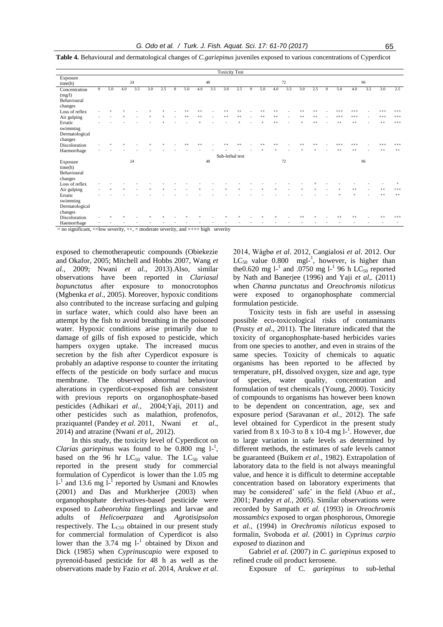| <b>Toxicity Test</b>                                                                            |              |     |     |     |     |     |              |         |         |     |                 |         |              |         |         |     |         |         |              |          |          |     |          |          |
|-------------------------------------------------------------------------------------------------|--------------|-----|-----|-----|-----|-----|--------------|---------|---------|-----|-----------------|---------|--------------|---------|---------|-----|---------|---------|--------------|----------|----------|-----|----------|----------|
| Exposure<br>time(h)                                                                             |              |     |     | 24  |     |     |              |         |         | 48  |                 |         |              |         |         | 72  |         |         |              |          |          | 96  |          |          |
| Concentration<br>(mg/l)<br>Behavioural<br>changes                                               | $\mathbf{0}$ | 5.0 | 4.0 | 3.5 | 3.0 | 2.5 | $\mathbf{0}$ | 5.0     | 4.0     | 3.5 | 3.0             | 2.5     | $\mathbf{0}$ | 5.0     | 4.0     | 3.5 | 3.0     | 2.5     | $\mathbf{0}$ | 5.0      | 4.0      | 3.5 | 3.0      | 2.5      |
| Loss of reflex                                                                                  |              |     |     |     |     |     |              |         | $^{++}$ |     |                 |         |              | $^{++}$ |         |     |         |         |              |          | $^{+++}$ |     | $^{+++}$ | $^{+++}$ |
| Air gulping                                                                                     |              |     |     |     |     |     |              | $^{++}$ | $^{++}$ |     | $^{++}$         | $^{++}$ |              | $^{++}$ | $^{++}$ |     | $^{++}$ | $^{++}$ |              | $^{+++}$ | $^{+++}$ |     | $^{+++}$ | $^{+++}$ |
| Erratic<br>swimming<br>Dermatological<br>changes                                                |              |     |     |     |     |     |              |         |         |     |                 |         |              |         | $^{++}$ |     |         | $^{++}$ |              | $^{++}$  | $^{++}$  |     | $^{++}$  | $^{+++}$ |
| Discoloration                                                                                   |              |     |     |     |     |     |              |         | $^{++}$ |     |                 |         |              |         |         |     |         |         |              | $^{+++}$ | $^{+++}$ |     | $^{+++}$ | $^{+++}$ |
| Haemorrhage                                                                                     |              |     |     |     |     |     |              |         |         |     |                 |         |              |         |         |     |         |         |              | $^{++}$  | $^{++}$  |     | $^{++}$  | $++$     |
|                                                                                                 |              |     |     |     |     |     |              |         |         |     | Sub-lethal test |         |              |         |         |     |         |         |              |          |          |     |          |          |
| Exposure<br>time(h)<br>Behavioural<br>changes                                                   |              |     |     | 24  |     |     |              |         |         | 48  |                 |         |              |         |         | 72  |         |         |              |          |          | 96  |          |          |
| Loss of reflex                                                                                  |              |     |     |     |     |     |              |         |         |     |                 |         |              |         |         |     |         |         |              |          |          |     |          |          |
| Air gulping                                                                                     |              |     |     |     |     |     |              |         |         |     |                 |         |              |         |         |     |         |         |              |          |          |     | $^{++}$  | $^{+++}$ |
| Erratic<br>swimming<br>Dermatological<br>changes                                                |              |     |     |     |     |     |              |         |         |     |                 |         |              |         |         |     |         |         |              |          |          |     | $^{++}$  | $++$     |
| Discoloration                                                                                   |              |     |     |     |     |     |              |         |         |     |                 |         |              |         |         |     |         |         |              | $^{++}$  | $^{++}$  |     |          | $^{+++}$ |
| Haemorrhage                                                                                     |              |     |     |     |     |     |              |         |         |     |                 |         |              |         |         |     |         |         |              |          |          |     |          |          |
| $=$ no significant, $+$ =low severity, $++$ , $=$ moderate severity, and $++$ $=$ high severity |              |     |     |     |     |     |              |         |         |     |                 |         |              |         |         |     |         |         |              |          |          |     |          |          |

**Table 4.** Behavioural and dermatological changes of *C.gariepinus* juveniles exposed to various concentrations of Cyperdicot

exposed to chemotherapeutic compounds (Obiekezie and Okafor, 2005; Mitchell and Hobbs 2007, Wang *et al.,* 2009; Nwani *et al.,* 2013).Also, similar observations have been reported in *Clariasal bopunctatus* after exposure to monocrotophos (Mgbenka *et al*., 2005). Moreover, hypoxic conditions also contributed to the increase surfacing and gulping in surface water, which could also have been an attempt by the fish to avoid breathing in the poisoned water. Hypoxic conditions arise primarily due to damage of gills of fish exposed to pesticide, which hampers oxygen uptake. The increased mucus secretion by the fish after Cyperdicot exposure is probably an adaptive response to counter the irritating effects of the pesticide on body surface and mucus membrane. The observed abnormal behaviour alterations in cyperdicot-exposed fish are consistent with previous reports on organophosphate-based pesticides (Adhikari *et al.,* 2004;Yaji, 2011) and other pesticides such as malathion, profenofos, praziquantel (Pandey *et al.* 2011, Nwani *et al*., 2014) and atrazine (Nwani *et al,.* 2012).

In this study, the toxicity level of Cyperdicot on *Clarias gariepinus* was found to be  $0.800$  mg  $1^{-1}$ , based on the 96 hr  $LC_{50}$  value. The  $LC_{50}$  value reported in the present study for commercial formulation of Cyperdicot is lower than the 1.05 mg  $1<sup>-1</sup>$  and 13.6 mg  $1<sup>-1</sup>$  reported by Usmani and Knowles (2001) and Das and Murkherjee (2003) when organophosphate derivatives-based pesticide were exposed to *Labeorohita* fingerlings and larvae and adults of *Helicoerpazea* and *Agrotisipsolon* respectively. The  $L_{C50}$  obtained in our present study for commercial formulation of Cyperdicot is also lower than the  $3.74 \text{ mg } l^{-1}$  obtained by Dixon and Dick (1985) when *Cyprinuscapio* were exposed to pyrenoid-based pesticide for 48 h as well as the observations made by Fazio *et al*. 2014, Arukwe *et al*.

2014, Wågbø *et al*. 2012, Cangialosi *et al*. 2012. Our  $LC_{50}$  value 0.800 mgl<sup>-1</sup>, however, is higher than the0.620 mg  $l^{-1}$  and .0750 mg  $l^{-1}$  96 h LC<sub>50</sub> reported by Nath and Banerjee (1996) and Yaji *et al,.* (2011) when *Channa punctatus* and *Oreochromis niloticus* were exposed to organophosphate commercial formulation pesticide.

Toxicity tests in fish are useful in assessing possible eco-toxicological risks of contaminants (Prusty *et al*., 2011). The literature indicated that the toxicity of organophosphate-based herbicides varies from one species to another, and even in strains of the same species. Toxicity of chemicals to aquatic organisms has been reported to be affected by temperature, pH, dissolved oxygen, size and age, type of species, water quality, concentration and formulation of test chemicals (Young, 2000). Toxicity of compounds to organisms has however been known to be dependent on concentration, age, sex and exposure period (Saravanan *et al.,* 2012). The safe level obtained for Cyperdicot in the present study varied from  $8 \times 10$ -3 to  $8 \times 10$ -4 mg l<sup>-1</sup>. However, due to large variation in safe levels as determined by different methods, the estimates of safe levels cannot be guaranteed (Buikem *et al*., 1982). Extrapolation of laboratory data to the field is not always meaningful value, and hence it is difficult to determine acceptable concentration based on laboratory experiments that may be considered' safe' in the field (Abuo *et al*., 2001; Pandey *et al.,* 2005). Similar observations were recorded by Sampath *et al.* (1993) in *Oreochromis mossambics e*xposed to organ phosphorous, Omoregie *et al.,* (1994) in *Orechromis niloticus* exposed to formalin, Svoboda *et al.* (2001) in *Cyprinus carpio exposed* to diazinon and

Gabriel *et al.* (2007) in *C. gariepinus* exposed to refined crude oil product kerosene.

Exposure of C*. gariepinus* to sub-lethal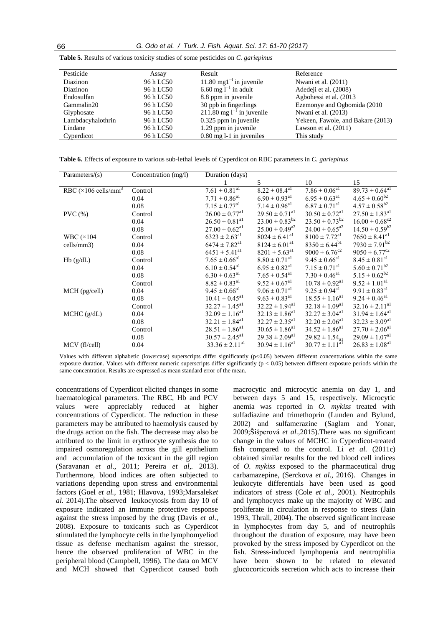| Pesticide         | Assay     | Result                                  | Reference                         |
|-------------------|-----------|-----------------------------------------|-----------------------------------|
| Diazinon          | 96 h LC50 | 11.80 mg1 $^{-1}$ in juvenile           | Nwani et al. (2011)               |
| Diazinon          | 96 h LC50 | 6.60 mg $l^{-1}$ in adult               | Adedeji et al. (2008)             |
| Endosulfan        | 96 h LC50 | 8.8 ppm in juvenile                     | Agbohessi et al. (2013)           |
| Gammalin20        | 96 h LC50 | 30 ppb in fingerlings                   | Ezemonye and Ogbomida (2010)      |
| Glyphosate        | 96 h LC50 | $211.80$ mg l <sup>-1</sup> in juvenile | Nwani et al. (2013)               |
| Lambdacyhalothrin | 96 h LC50 | 0.325 ppm in juvenile                   | Yekeen, Fawole, and Bakare (2013) |
| Lindane           | 96 h LC50 | 1.29 ppm in juvenile                    | Lawson et al. $(2011)$            |
| Cyperdicot        | 96 h LC50 | $0.80$ mg 1-1 in juveniles              | This study                        |

**Table 5.** Results of various toxicity studies of some pesticides on *C. gariepinus*

**Table 6.** Effects of exposure to various sub-lethal levels of Cyperdicot on RBC parameters in *C. gariepinus*

| Parameters/ $(s)$                        | Concentration (mg/l) | Duration (days)                |                                |                                |                                |
|------------------------------------------|----------------------|--------------------------------|--------------------------------|--------------------------------|--------------------------------|
|                                          |                      |                                | 5.                             | 10                             | 15                             |
| RBC ( $\times$ 106 cells/mm <sup>3</sup> | Control              | $7.61 \pm 0.81$ <sup>al</sup>  | $8.22 \pm 08.4^{\text{al}}$    | $7.86 \pm 0.06^{a1}$           | $89.73 \pm 0.64$ <sup>a1</sup> |
|                                          | 0.04                 | $7.71 \pm 0.86$ <sup>al</sup>  | $6.90 \pm 0.93$ <sup>al</sup>  | $6.95 \pm 0.63$ <sup>a1</sup>  | $4.65 \pm 0.60^{b2}$           |
|                                          | 0.08                 | $7.15 \pm 0.77$ <sup>a1</sup>  | $7.14 \pm 0.96$ <sup>al</sup>  | $6.87 \pm 0.71$ <sup>a1</sup>  | $4.57 \pm 0.58^{b2}$           |
| PVC(%)                                   | Control              | $26.00 \pm 0.77$ <sup>a1</sup> | $29.50 \pm 0.71$ <sup>a1</sup> | $30.50 \pm 0.72$ <sup>a1</sup> | $27.50 \pm 1.83$ <sup>a1</sup> |
|                                          | 0.04                 | $26.50 \pm 0.81$ <sup>al</sup> | $23.00 \pm 0.83^{b2}$          | $23.50 \pm 0.73^{b2}$          | $16.00 \pm 0.68^{\circ 2}$     |
|                                          | 0.08                 | $27.00 \pm 0.62$ <sup>a1</sup> | $25.00 \pm 0.49^{a2}$          | $24.00 \pm 0.65^{a2}$          | $14.50 \pm 0.59^{b2}$          |
| WBC $(\times 104)$                       | Control              | $6323 \pm 2.63$ <sup>a1</sup>  | $8024 \pm 6.41$ <sup>a1</sup>  | $8100 \pm 7.72$ <sup>a1</sup>  | $7650 \pm 8.41$ <sup>al</sup>  |
| cells/mm3)                               | 0.04                 | $6474 \pm 7.82$ <sup>a1</sup>  | $8124 \pm 6.01$ <sup>a1</sup>  | $8350 \pm 6.44^{b1}$           | $7930 \pm 7.91^{b2}$           |
|                                          | 0.08                 | $6451 \pm 5.41$ <sup>al</sup>  | $8201 \pm 5.63$ <sup>a1</sup>  | $9000 \pm 6.76^{\circ 2}$      | $9050 \pm 6.77^{\circ 2}$      |
| Hb(g/dL)                                 | Control              | $7.65 \pm 0.66$ <sup>a1</sup>  | $8.80 \pm 0.71$ <sup>al</sup>  | $9.45 \pm 0.66$ <sup>a1</sup>  | $8.45 \pm 0.81$ <sup>a1</sup>  |
|                                          | 0.04                 | $6.10 \pm 0.54$ <sup>a1</sup>  | $6.95 \pm 0.82$ <sup>al</sup>  | $7.15 \pm 0.71$ <sup>a1</sup>  | $5.60 \pm 0.71^{b2}$           |
|                                          | 0.08                 | $6.30 \pm 0.63$ <sup>a1</sup>  | $7.65 \pm 0.54$ <sup>al</sup>  | $7.30 \pm 0.46$ <sup>al</sup>  | $5.15 \pm 0.62^{b2}$           |
|                                          | Control              | $8.82 \pm 0.83$ <sup>al</sup>  | $9.52 \pm 0.67$ <sup>al</sup>  | $10.78 \pm 0.92$ <sup>a1</sup> | $9.52 \pm 1.01$ <sup>al</sup>  |
| MCH (pg/cell)                            | 0.04                 | $9.45 \pm 0.66$ <sup>al</sup>  | $9.06 \pm 0.71$ <sup>al</sup>  | $9.25 \pm 0.94$ <sup>al</sup>  | $9.91 \pm 0.83$ <sup>a1</sup>  |
|                                          | 0.08                 | $10.41 \pm 0.45$ <sup>a1</sup> | $9.63 \pm 0.83$ <sup>a1</sup>  | $18.55 \pm 1.16^{a1}$          | $9.24 \pm 0.46^{\text{al}}$    |
|                                          | Control              | $32.27 \pm 1.45^{\text{al}}$   | $32.22 \pm 1.94$ <sup>al</sup> | $32.18 \pm 1.09^{a1}$          | $32.16 \pm 2.11^{a1}$          |
| MCHC (g/dL)                              | 0.04                 | $32.09 \pm 1.16^{a1}$          | $32.13 \pm 1.86$ <sup>a1</sup> | $32.27 \pm 3.04$ <sup>a1</sup> | $31.94 \pm 1.64$ <sup>al</sup> |
|                                          | 0.08                 | $32.21 \pm 1.84$ <sup>a1</sup> | $32.27 \pm 2.35$ <sup>a1</sup> | $32.20 \pm 2.06^{a1}$          | $32.23 \pm 3.09$ <sup>al</sup> |
|                                          | Control              | $28.51 \pm 1.86$ <sup>a1</sup> | $30.65 \pm 1.86$ <sup>a1</sup> | $34.52 \pm 1.86$ <sup>a1</sup> | $27.70 \pm 2.06^{\text{al}}$   |
|                                          | 0.08                 | $30.57 \pm 2.45^{\text{al}}$   | $29.38 \pm 2.09$ <sup>al</sup> | $29.82 \pm 1.54_{\circ 1}$     | $29.09 \pm 1.07$ <sup>al</sup> |
| MCV (fl/cell)                            | 0.04                 | $33.36 \pm 2.11^{a1}$          | $30.94 \pm 1.16^{a1}$          | $30.77 \pm 1.11^{a1}$          | $26.83 \pm 1.08$ <sup>al</sup> |

Values with different alphabetic (lowercase) superscripts differ significantly (p<0.05) between different concentrations within the same exposure duration. Values with different numeric superscripts differ significantly ( $p < 0.05$ ) between different exposure periods within the same concentration. Results are expressed as mean standard error of the mean.

concentrations of Cyperdicot elicited changes in some haematological parameters. The RBC, Hb and PCV values were appreciably reduced at higher concentrations of Cyperdicot. The reduction in these parameters may be attributed to haemolysis caused by the drugs action on the fish. The decrease may also be attributed to the limit in erythrocyte synthesis due to impaired osmoregulation across the gill epithelium and accumulation of the toxicant in the gill region (Saravanan *et al*., 2011; Pereira *et al,.* 2013). Furthermore, blood indices are often subjected to variations depending upon stress and environmental factors (Goel *et al.,* 1981; Hlavova, 1993;Marsalek*et al.* 2014).The observed leukocytosis from day 10 of exposure indicated an immune protective response against the stress imposed by the drug (Davis *et al*., 2008). Exposure to toxicants such as Cyperdicot stimulated the lymphocyte cells in the lymphomyeliod tissue as defense mechanism against the stressor, hence the observed proliferation of WBC in the peripheral blood (Campbell, 1996). The data on MCV and MCH showed that Cyperdicot caused both

macrocytic and microcytic anemia on day 1, and between days 5 and 15, respectively. Microcytic anemia was reported in *O. mykiss* treated with sulfadiazine and trimethoprin (Lunden and Bylund, 2002) and sulfamerazine (Saglam and Yonar, 2009[;Šišperová](https://www.researchgate.net/researcher/2079394309_E_Sisperova) *et al*.,2015).There was no significant change in the values of MCHC in Cyperdicot-treated fish compared to the control. Li *et al.* (2011c) obtained similar results for the red blood cell indices of *O. mykiss* exposed to the pharmaceutical drug carbamazepine, (Serckova *et al*., 2016). Changes in leukocyte differentials have been used as good indicators of stress (Cole *et al.,* 2001). Neutrophils and lymphocytes make up the majority of WBC and proliferate in circulation in response to stress (Jain 1993, Thrall, 2004). The observed significant increase in lymphocytes from day 5, and of neutrophils throughout the duration of exposure, may have been provoked by the stress imposed by Cyperdicot on the fish. Stress-induced lymphopenia and neutrophilia have been shown to be related to elevated glucocorticoids secretion which acts to increase their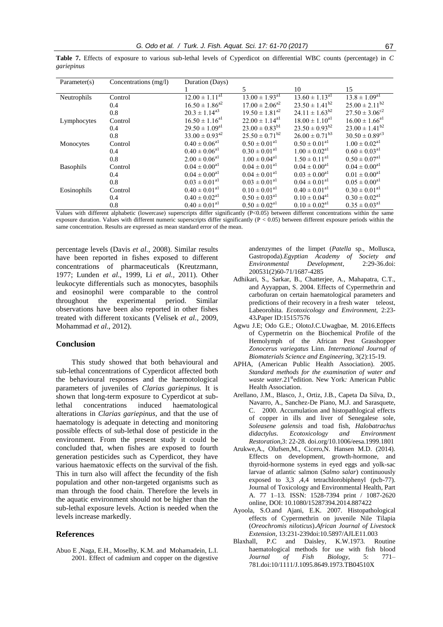| Parameter(s)     | Concentrations (mg/l) | Duration (Days)                |                                |                                |                                |
|------------------|-----------------------|--------------------------------|--------------------------------|--------------------------------|--------------------------------|
|                  |                       |                                | 5                              | 10                             | 15                             |
| Neutrophils      | Control               | $12.00 \pm 1.11^{a1}$          | $13.00 \pm 1.93$ <sup>al</sup> | $13.60 \pm 1.13$ <sup>al</sup> | $13.8 \pm 1.09$ <sup>a1</sup>  |
|                  | 0.4                   | $16.50 \pm 1.86^{a2}$          | $17.00 \pm 2.06^{a2}$          | $23.50 \pm 1.41^{b2}$          | $25.00 \pm 2.11^{b2}$          |
|                  | 0.8                   | $20.3 \pm 1.14^{a3}$           | $19.50 \pm 1.81^{a2}$          | $24.11 \pm 1.63^{b2}$          | $27.50 \pm 3.06^{\circ 2}$     |
| Lymphocytes      | Control               | $16.50 \pm 1.16^{a1}$          | $22.00 \pm 1.14$ <sup>al</sup> | $18.00 \pm 1.10^{a1}$          | $16.00 \pm 1.66$ <sup>al</sup> |
|                  | 0.4                   | $29.50 \pm 1.09$ <sup>a1</sup> | $23.00 \pm 0.83^{b1}$          | $23.50 \pm 0.93^{b2}$          | $23.00 \pm 1.41^{b2}$          |
|                  | 0.8                   | $33.00 \pm 0.93^{22}$          | $25.50 \pm 0.71^{b2}$          | $26.00 \pm 0.71^{b3}$          | $30.50 \pm 0.89$ <sup>c3</sup> |
| Monocytes        | Control               | $0.40 \pm 0.06$ <sup>a1</sup>  | $0.50 \pm 0.01$ <sup>al</sup>  | $0.50 \pm 0.01$ <sup>al</sup>  | $1.00 \pm 0.02$ <sup>al</sup>  |
|                  | 0.4                   | $0.40 \pm 0.06$ <sup>al</sup>  | $0.30 \pm 0.01$ <sup>al</sup>  | $1.00 \pm 0.02$ <sup>a1</sup>  | $0.60 \pm 0.03$ <sup>a1</sup>  |
|                  | 0.8                   | $2.00 \pm 0.06$ <sup>al</sup>  | $1.00 \pm 0.04$ <sup>al</sup>  | $1.50 \pm 0.11$ <sup>a1</sup>  | $0.50 \pm 0.07$ <sup>al</sup>  |
| <b>Basophils</b> | Control               | $0.04 \pm 0.00$ <sup>al</sup>  | $0.04 \pm 0.01$ <sup>al</sup>  | $0.04 \pm 0.00^{a_1}$          | $0.04 \pm 0.00$ <sup>al</sup>  |
|                  | 0.4                   | $0.04 \pm 0.00$ <sup>a1</sup>  | $0.04 \pm 0.01$ <sup>al</sup>  | $0.03 \pm 0.00^{a_1}$          | $0.01 \pm 0.00^{a_1}$          |
|                  | 0.8                   | $0.03 \pm 0.01$ <sup>al</sup>  | $0.03 \pm 0.01$ <sup>al</sup>  | $0.04 \pm 0.01$ <sup>a1</sup>  | $0.05 \pm 0.00$ <sup>al</sup>  |
| Eosinophils      | Control               | $0.40 \pm 0.01$ <sup>a1</sup>  | $0.10 \pm 0.01$ <sup>a1</sup>  | $0.40 \pm 0.01$ <sup>al</sup>  | $0.30 \pm 0.01$ <sup>al</sup>  |
|                  | 0.4                   | $0.40 \pm 0.02$ <sup>a1</sup>  | $0.50 \pm 0.03$ <sup>al</sup>  | $0.10 \pm 0.04$ <sup>al</sup>  | $0.30 \pm 0.02$ <sup>al</sup>  |
|                  | 0.8                   | $0.40 \pm 0.01$ <sup>al</sup>  | $0.50 \pm 0.02$ <sup>a1</sup>  | $0.10 \pm 0.02$ <sup>a1</sup>  | $0.35 \pm 0.03$ <sup>al</sup>  |

**Table 7.** Effects of exposure to various sub-lethal levels of Cyperdicot on differential WBC counts (percentage) in *C gariepinus*

Values with different alphabetic (lowercase) superscripts differ significantly  $(P<0.05)$  between different concentrations within the same exposure duration. Values with different numeric superscripts differ significantly (P < 0.05) between different exposure periods within the same concentration. Results are expressed as mean standard error of the mean.

percentage levels (Davis *et al.,* 2008). Similar results have been reported in fishes exposed to different concentrations of pharmaceuticals (Kreutzmann, 1977; Lunden *et al*., 1999, Li *et al.,* 2011). Other leukocyte differentials such as monocytes, basophils and eosinophil were comparable to the control throughout the experimental period. Similar observations have been also reported in other fishes treated with different toxicants (Velisek *et al.,* 2009, Mohammad *et al*., 2012).

# **Conclusion**

This study showed that both behavioural and sub-lethal concentrations of Cyperdicot affected both the behavioural responses and the haemotological parameters of juveniles of *Clarias gariepinus.* It is shown that long-term exposure to Cyperdicot at sublethal concentrations induced haematological alterations in *Clarias gariepinus*, and that the use of haematology is adequate in detecting and monitoring possible effects of sub-lethal dose of pesticide in the environment. From the present study it could be concluded that, when fishes are exposed to fourth generation pesticides such as Cyperdicot, they have various haematoxic effects on the survival of the fish. This in turn also will affect the fecundity of the fish population and other non-targeted organisms such as man through the food chain. Therefore the levels in the aquatic environment should not be higher than the sub-lethal exposure levels. Action is needed when the levels increase markedly.

# **References**

Abuo E ,Naga, E.H., Moselhy, K.M. and Mohamadein, L.I. 2001. Effect of cadmium and copper on the digestive andenzymes of the limpet (*Patella* sp., Mollusca, Gastropoda).*Egyptian Academy of Society and Environmental Development*, 2:29-36.doi: 200531(2)60-71/1687-4285

- Adhikari, S., Sarkar, B., Chatterjee, A., Mahapatra, C.T., and Ayyappan, S. 2004. Effects of Cypermethrin and carbofuran on certain haematological parameters and predictions of their recovery in a fresh water teleost, Labeorohita. *Ecotoxicology and Environment*, 2:23- 43**.**Paper ID:15157576
- Agwu J.E; Odo G.E.; OlotoJ.C.Uwagbae, M. 2016.Effects of Cypermetrin on the Biochemical Profile of the Hemolymph of the African Pest Grasshopper *Zonocerus variegatus* Linn. *International Journal of Biomaterials Science and Engineering*, 3(2):15-19.
- APHA, (American Public Health Association). 2005. *Standard methods for the examination of water and waste water.*21<sup>st</sup>edition. New York: American Public Health Association.
- Arellano, J.M., Blasco, J., Ortiz, J.B., Capeta Da Silva, D., Navarro, A., Sanchez-De Piano, M.J. and Sarasquete, C. 2000. Accumulation and histopathlogical effects of copper in ills and liver of Senegalese sole, *Soleasene galensis* and toad fish, *Halobatrachus didactylus*. *Ecotoxicology and Environment Restoration*,3: 22-28[. doi.org/10.1006/eesa.1999.1801](http://dx.doi.org/10.1006/eesa.1999.1801)
- Arukwe,A., Olufsen,M., Cicero,N. Hansen M.D. (2014). Effects on development, growth-hormone, and thyroid-hormone systems in eyed eggs and yolk-sac larvae of atlantic salmon (*Salmo salar*) continuously exposed to 3,3 ,4,4 tetrachlorobiphenyl (pcb-77). Journal of Toxicology and Environmental Health, Part A. 77 1–13. ISSN: 1528-7394 print / 1087-2620 online, DOI: 10.1080/15287394.2014.887422
- Ayoola, S.O.and Ajani, E.K. 2007. Histopathological effects of Cypermethrin on juvenile Nile Tilapia (*Oreochromis niloticus*).*African Journal of Livestock Extension*, 13:231-239doi:10.5897/AJLE11.003
- Blaxhall, P.C and Daisley, K.W.1973. Routine haematological methods for use with fish blood *Journal of Fish Biology*, 5: 771– 781.doi:10/1111/J.1095.8649.1973.TB04510X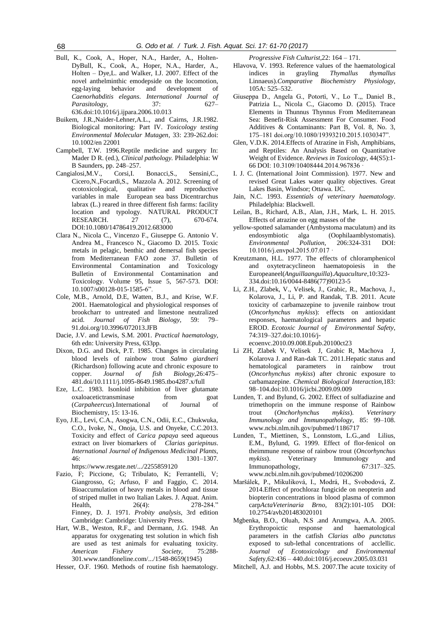- Bull, K., Cook, A., Hoper, N.A., Harder, A., Holten-DyBull, K., Cook, A., Hoper, N.A., Harder, A., Holten – Dye,L. and Walker, I.J. 2007. Effect of the novel anthelminthic emodepside on the locomotion, egg-laying behavior and development of *Caenorhabditis elegans*. *International Journal of Parasitology*, 37: 627– 636.doi:10.1016/j.ijpara.2006.10.013
- Buikem, J.R.,Naider-Lehner,A.L., and Cairns, J.R.1982. Biological monitoring: Part IV. *Toxicology testing Environmental Molecular Mutagen*, 33: 239-262.doi: 10.1002/en 22001
- Campbell, T.W. 1996.Reptile medicine and surgery In: Mader D R. (ed.), *Clinical pathology.* Philadelphia: W B Saunders, pp. 248–257.
- Cangialosi,M.V., Corsi,I. Bonacci,S., Sensini,C., Cicero,N.,Focardi,S., Mazzola A. 2012. Screening of ecotoxicological, qualitative and variables in male European sea bass Dicentrarchus labrax (L.) reared in three different fish farms: facility location and typology. NATURAL PRODUCT RESEARCH. 27 (7), 670-674. DOI:10.1080/14786419.2012.683000
- Clara N., Nicola C., Vincenzo F., Giuseppe G. Antonio V. Andrea M., Francesco N., Giacomo D. 2015. Toxic metals in pelagic, benthic and demersal fish species from Mediterranean FAO zone 37. Bulletin of Environmental Contamination and Toxicology Bulletin of Environmental Contamination and Toxicology. Volume 95, Issue 5, 567-573. DOI: 10.1007/s00128-015-1585-6".
- Cole, M.B., Arnold, D.E, Watten, B.J., and Krise, W.F. 2001. Haematological and physiological responses of brookcharr to untreated and limestone neutralized acid. *Journal of Fish Biology*, 59: 79– 91.doi.org/10.3996/072013.JFB
- Dacie, J.V. and Lewis, S.M. 2001. *Practical haematology*, 6th edn: University Press, 633pp.
- Dixon, D.G. and Dick, P.T. 1985. Changes in circulating blood levels of rainbow trout *Salmo giardneri* (Richardson) following acute and chronic exposure to copper. *Journal of fish Biology,*26:475– 481.doi/10.1111/j.1095-8649.1985.tbo4287.x/full
- Eze, L.C. 1983. Isonloid inhibition of liver glutamate oxaloacetictransminase from (*Carpaheercus*).International of Journal of Biochemistry, 15: 13-16.
- Eyo, J.E., Levi, C.A., Asogwa, C.N., Odii, E.C., Chukwuka, C.O., Ivoke, N., Onoja, U.S. and Onyeke, C.C.2013. Toxicity and effect of *Carica papaya* seed aqueous extract on liver biomarkers of *Clarias gariepinus*. *International Journal of Indigenous Medicinal Plants,* 46: 1301–1307. <https://www.resgate.net/.../2255859120>
- Fazio, F; Piccione, G; Tribulato, K; Ferrantelli, V; Giangrosso, G; Arfuso, F and Faggio, C. 2014. Bioaccumulation of heavy metals in blood and tissue of striped mullet in two Italian Lakes. J. Aquat. Anim. Health, 26(4): 278-284." Finney, D. J. 1971. *Probity analysis*, 3rd edition Cambridge: Cambridge: University Press.
- Hart, W.B., Weston, R.F., and Dermann, J.G. 1948. An apparatus for oxygenating test solution in which fish are used as test animals for evaluating toxicity*. American Fishery Society,* 75:288- 30[1.www.tandfoneline.com/.../1548-8659\(1945\)](http://www.tandfoneline.com/.../1548-8659(1945))
- Hesser, O.F. 1960. Methods of routine fish haematology.

*Progressive Fish Culturist*,22: 164 – 171.

- Hlavova, V. 1993. Reference values of the haematological indices in grayling *Thymallus thymallus* Linnaeus).*Comparative Biochemistry Physiology*, 105A: 525–532.
- Giuseppa D., Angela G., Potortì, V., Lo T.,, Daniel B., Patrizia L., Nicola C., Giacomo D. (2015). Trace Elements in Thunnus Thynnus From Mediterranean Sea: Benefit-Risk Assessment For Consumer. Food Additives & Contaminants: Part B, Vol. 8, No. 3, 175–181 doi.org/10.1080/19393210.2015.1030347".
- [Glen, V.D.K.](https://www.researchgate.net/profile/Glen_Kraak) 2014.Effects of Atrazine in Fish, Amphibians, and Reptiles: An Analysis Based on Quantitative Weight of Evidence. *Reviews in Toxicology*, 44(S5):1- 66 DOI: 10.3109/10408444.2014.967836 ·
- I. J. C. (International Joint Commission). 1977. New and revised Great Lakes water quality objectives. Great Lakes Basin, Windsor; Ottawa. IJC.
- Jain, N.C. 1993. *Essentials of veterinary haematology*. Philadelphia: Blackwell.
- [Leilan, B.](https://www.researchgate.net/profile/Leilan_Baxter), [Richard, A.B.](https://www.researchgate.net/profile/Richard_Brain), [Alan, J.H.](https://www.researchgate.net/researcher/2073237842_Alan_J_Hosmer), [Mark, L. H.](https://www.researchgate.net/profile/Mark_Hanson5) 2015. Effects of atrazine on egg masses of the
- yellow-spotted salamander (Ambystoma maculatum) and its endosymbiotic alga (Oophilaamblystomatis). *Environmental Pollution*, 206:324-331 DOI: 10.1016/j.envpol.2015.07.017 ·
- Kreutzmann, H.L. 1977. The effects of chloramphenicol and oxytetracyclineon haematopoiesis in the Europeaneel(*Anguillaanguilla*).*Aquaculture*,10:323- 334.doi:10.16/0044-8486(77)90123-5
- Li, Z.H., Zlabek, V., Velisek, J., Grabic, R., Machova, J., Kolarova, J., Li, P. and Randak, T.B. 2011. Acute toxicity of carbamazepine to juvenile rainbow trout (*Oncorhynchus mykiss*): effects on antioxidant responses, haematological parameters and hepatic EROD. *Ecotoxic Journal of Environmental Safety*, 74:319–327.doi:10.1016/jecoenvc.2010.09.008.Epub.20100ct23

Li ZH, Zlabek V, Velisek J, Grabic R, Machova J, Kolarova J. and Ran-dak TC. 2011.Hepatic status and hematological parameters in rainbow trout (*Oncorhynchus mykiss*) after chronic exposure to carbamazepine. *Chemical Biological Interaction,*183: 98–104.doi:10.1016/jicbi.2009.09.009

- Lunden, T. and Bylund, G. 2002. Effect of sulfadiazine and trimethoprin on the immune response of Rainbow trout (*Onchorhynchus mykiss*). *Veterinary Immunology and Immunopathology*, 85: 99–108. [www.ncbi.nlm.nih.gov/pubmed/1186717](http://www.ncbi.nlm.nih.gov/pubmed/1186717)
- Lunden, T., Miettinen, S., Lonnstom, L.G.,and Lilius, E.M., Bylund, G. 1999. Effect of flor-fenicol on theimmune response of rainbow trout (*Oncorhynchus mykiss*). Veterinary Immunology and Immunopathology, 67:317–325. [www.ncbi.nlm.nih.gov/pubmed/10206200](http://www.ncbi.nlm.nih.gov/pubmed/10206200)
- [Maršálek,](https://www.researchgate.net/researcher/75946716_Petr_Marsalek) P., [Mikuliková,](https://www.researchgate.net/researcher/2003887047_Ivana_Mikulikova) I., [Modrá,](https://www.researchgate.net/profile/Helena_Modra) H., [Svobodová,](https://www.researchgate.net/researcher/51361437_Zdenka_Svobodova) Z. 2014.Effect of prochloraz fungicide on neopterin and biopterin concentrations in blood plasma of common carp*ActaVeterinaria Brno*, 83(2):101-105 DOI: 10.2754/avb201483020101
- Mgbenka, B.O., Oluah, N.S .and Arumgwa, A.A. 2005. Erythropoictic response and haematological parameters in the catfish *Clarias albo punctatus* exposed to sub-lethal concentrations of acclellic. *Journal of Ecotoxicology and Environmental Safet*y,62:436 – 440.doi:1016/j.ecoeuv.2005.03.031
- Mitchell, A.J. and Hobbs, M.S. 2007.The acute toxicity of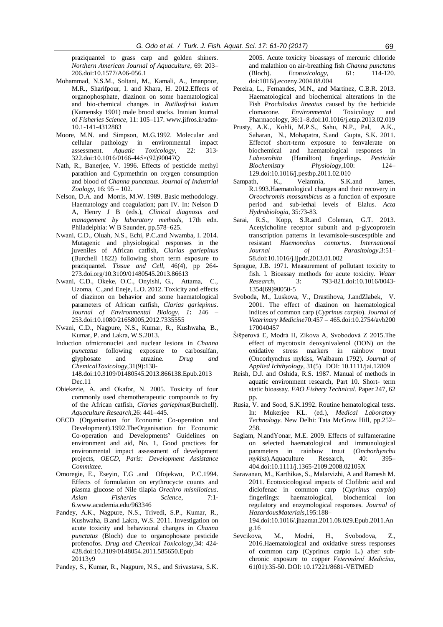praziquantel to grass carp and golden shiners. *Northern American Journal of Aquaculture*, 69: 203– 206.doi:10.1577/A06-056.1

- Mohammad, N.S.M., Soltani, M., Kamali, A., Imanpoor, M.R., Sharifpour, I. and Khara, H. 2012.Effects of organophosphate, diazinon on some haematological and bio-chemical changes in *Rutilusfrisii kutum* (Kamensky 1901) male brood stocks. Iranian Journal of *Fisheries Science,* 11: 105–117. [www.jifros.ir/adm-](http://www.jifros.ir/adm-10.1-141-4312883)[10.1-141-4312883](http://www.jifros.ir/adm-10.1-141-4312883)
- Moore, M.N. and Simpson, M.G.1992. Molecular and cellular pathology in environmental impact assessment. *Aquatic Toxicology*, 22: 313- 322.doi:10.1016/0166-445×(92)90047Q
- Nath, R., Banerjee, V. 1996. Effects of pesticide methyl parathion and Cyprmethrin on oxygen consumption and blood of *Channa punctatus*. *Journal of Industrial Zoology*, 16: 95 – 102.
- Nelson, D.A. and Morris, M.W. 1989. Basic methodology. Haematology and coagulation; part IV. In: Nelson D A, Henry J B (eds.), *Clinical diagnosis and management by laboratory methods,* 17th edn. Philadelphia: W B Saunder, pp.578–625.
- Nwani, C.D., Oluah, N.S., Echi, P.C.and Nwamba, I. 2014. Mutagenic and physiological responses in the juveniles of African catfish, *Clarias gariepinus* (Burchell 1822) following short term exposure to praziquantel. *Tissue and Cell*, 46(4), pp 264- 273.doi.org/10.3109/01480545.2013.86613
- Nwani, C.D., Okeke, O.C., Onyishi, G., Attama, C., Uzoma, C.,and Eneje, L.O. 2012. Toxicity and effects of diazinon on behavior and some haematological parameters of African catfish, *Clarias gariepinus*. *Journal of Environmental Biology*, *1***:** 246 – 253.doi:10.1080/21658005,2012.7335555
- Nwani, C.D., Nagpure, N.S., Kumar, R., Kushwaha, B., Kumar, P. and Lakra, W.S.2013.
- Induction ofmicronuclei and nuclear lesions in *Channa punctatus* following exposure to carbosulfan, glyphosate and atrazine. *Drug and ChemicalToxicology*,31(9):138- 148.doi:10.3109/01480545.2013.866138.Epub.2013 Dec.11
- Obiekezie, A. and Okafor, N. 2005. Toxicity of four commonly used chemotherapeutic compounds to fry of the African catfish, *Clarias gariepinus*(Burchell). *Aquaculture Research,*26: 441–445.
- OECD (Organisation for Economic Co-operation and Development).1992.TheOrganisation for Economic Co-operation and Developments**'** Guidelines on environment and aid, No. 1, Good practices for environmental impact assessment of development projects, *OECD, Paris: Development Assistance Committee.*
- Omoregie, E., Eseyin, T.G .and Ofojekwu, P.C.1994. Effects of formulation on erythrocycte counts and plasma glucose of Nile tilapia *Orechro misniloticus*. *Asian Fisheries Science*, 7:1- 6.www.academia.edu/963346
- Pandey, A.K., Nagpure, N.S., Trivedi, S.P., Kumar, R., Kushwaha, B.and Lakra, W.S. 2011. Investigation on acute toxicity and behavioural changes in *Channa punctatus* (Bloch) due to organophosate pesticide profenofos. *Drug and Chemical Toxicology*,34: 424- 428.doi:10.3109/0148054.2011.585650.Epub 20113y9
- Pandey, S., Kumar, R., Nagpure, N.S., and Srivastava, S.K.

2005. Acute toxicity bioassays of mercuric chloride and malathion on air-breathing fish *Channa punctatus*  (Bloch). *Ecotoxicology*, 61: 114-120. doi:1016/j.ecoeny.2004.08.004

- Pereira, L., Fernandes, M.N., and Martinez, C.B.R. 2013. Haematological and biochemical alterations in the Fish *Prochilodus lineatus* caused by the herbicide clomazone. *Environmental* Toxicology and Pharmacology, 36:1–8.doi:10.1016/j.etap.2013.02.019
- Prusty, A.K., Kohli, M.P.S., Sahu, N.P., Pal, A.K., Saharan, N., Mohapatra, S.and Gupta, S.K. 2011. Effectof short-term exposure to fenvalerate on biochemical and haematological responses in *Labeorohita* (Hamilton) fingerlings. *Pesticide Biochemistry Physiology*,100: 124– 129.doi:10.1016/j.pestbp.2011.02.010
- Sampath, K., Velamnia, S.K.and James, R.1993.Haematological changes and their recovery in *Oreochromis mossambicus* as a function of exposure period and sub-lethal levels of Elalus. *Acta Hydrobiologia*, 35:73-83.
- Sarai, R.S., Kopp, S.R.and Coleman, G.T. 2013. Acetylcholine receptor subunit and p-glycoprotein transcription patterns in levamisole-suscesptible and resistant *Haemonchus contortus*. *International Journal of Parasitology*,3:51– 58.doi:10.1016/j.ijpdr.2013.01.002
- Sprague, J.B. 1971. Measurement of pollutant toxicity to fish. l. Bioassay methods for acute toxicity. *Water Research*, 3: 793-821.doi:10.1016/0043- 1354(69)90050-5
- Svoboda, M., Luskova, V., Drastihova, J.andZlabek, V. 2001. The effect of diazinon on haematological indices of common carp (*Cyprinus carpio*). *Journal of Veterinary Medicine*70:457 – 465.doi:10.2754/avb200 170040457
- [Šišperová](https://www.researchgate.net/researcher/2079394309_E_Sisperova) E, [Modrá](https://www.researchgate.net/profile/Helena_Modra) H, [Zikova](https://www.researchgate.net/profile/Andrea_Zikova2) A, [Svobodová](https://www.researchgate.net/researcher/39195695_Z_Svobodova) Z 2015.The effect of mycotoxin deoxynivalenol (DON) on the oxidative stress markers in rainbow trout (Oncorhynchus mykiss, Walbaum 1792). *Journal of Applied Ichthyology,* 31(5) DOI: 10.1111/jai.12809
- Reish, D.J. and Oshida, R.S. 1987. Manual of methods in aquatic environment research, Part 10. Short- term static bioassay. *FAO Fishery Technical*. Paper 247, 62 pp.
- Rusia, V. and Sood, S.K.1992. Routine hematological tests. In: Mukerjee KL. (ed.), *Medical Laboratory Technology*. New Delhi: Tata McGraw Hill, pp.252– 258.
- Saglam, N.andYonar, M.E. 2009. Effects of sulfamerazine on selected haematological and immunological parameters in rainbow trout (*Onchorhynchu mykiss*).Aquaculture Research, 40: 395– 404.doi:10.1111/j.1365-2109.2008.02105X
- Saravanan, M., Karthikas, S., Malarvizhi, A and Ramesh M. 2011. Ecotoxicological impacts of Clofibric acid and diclofenac in common carp (*Cyprinus carpio*) fingerlings: haematological, biochemical ion regulatory and enzymological responses. *Journal of HazardousMaterials*,195:188– 194.doi:10.1016/.jhazmat.2011.08.029.Epub.2011.An

g.16 [Sevcikova,](https://www.researchgate.net/profile/Marie_Sevcikova) M., [Modrá,](https://www.researchgate.net/profile/Helena_Modra) H., [Svobodova,](https://www.researchgate.net/researcher/39195695_Z_Svobodova) Z., 2016.Haematological and oxidative stress responses of common carp (Cyprinus carpio L.) after subchronic exposure to copper *Veterinární Medicína*,

61(01):35-50. DOI: 10.17221/8681-VETMED